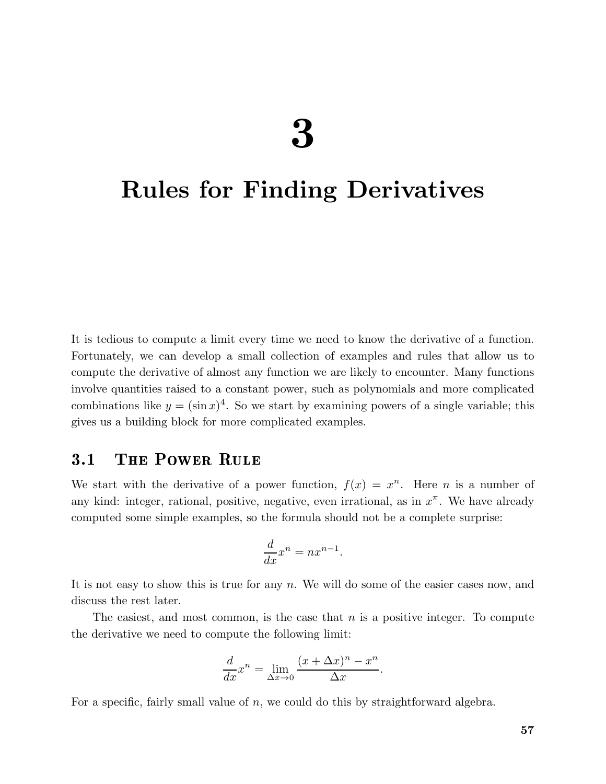# $\boldsymbol{\mathcal{S}}$

# Rules for Finding Derivatives

It is tedious to compute a limit every time we need to know the derivative of a function. Fortunately, we can develop a small collection of examples and rules that allow us to compute the derivative of almost any function we are likely to encounter. Many functions involve quantities raised to a constant power, such as polynomials and more complicated combinations like  $y = (\sin x)^4$ . So we start by examining powers of a single variable; this gives us a building block for more complicated examples.

# 3.1 The Power Rule

We start with the derivative of a power function,  $f(x) = x^n$ . Here *n* is a number of any kind: integer, rational, positive, negative, even irrational, as in  $x^{\pi}$ . We have already computed some simple examples, so the formula should not be a complete surprise:

$$
\frac{d}{dx}x^n = nx^{n-1}.
$$

It is not easy to show this is true for any  $n$ . We will do some of the easier cases now, and discuss the rest later.

The easiest, and most common, is the case that  $n$  is a positive integer. To compute the derivative we need to compute the following limit:

$$
\frac{d}{dx}x^n = \lim_{\Delta x \to 0} \frac{(x + \Delta x)^n - x^n}{\Delta x}.
$$

For a specific, fairly small value of n, we could do this by straightforward algebra.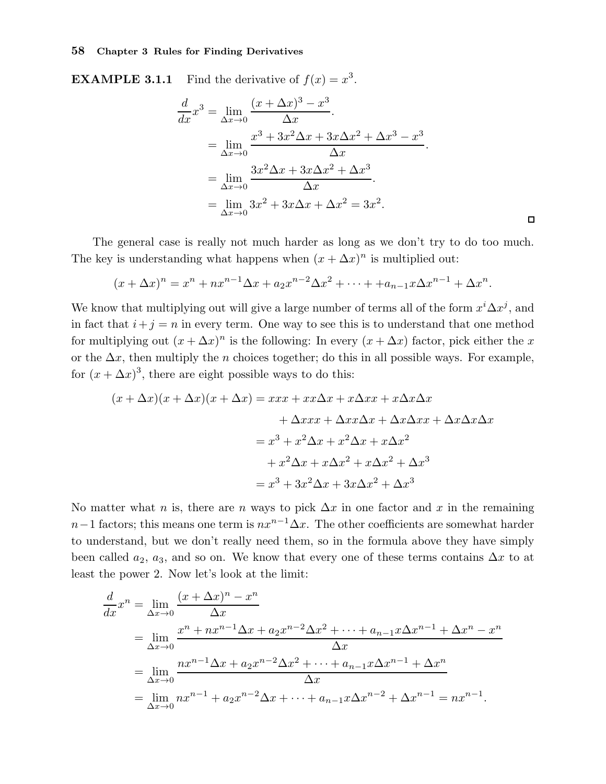**EXAMPLE 3.1.1** Find the derivative of  $f(x) = x^3$ .

$$
\frac{d}{dx}x^3 = \lim_{\Delta x \to 0} \frac{(x + \Delta x)^3 - x^3}{\Delta x}.
$$
  
= 
$$
\lim_{\Delta x \to 0} \frac{x^3 + 3x^2 \Delta x + 3x \Delta x^2 + \Delta x^3 - x^3}{\Delta x}.
$$
  
= 
$$
\lim_{\Delta x \to 0} \frac{3x^2 \Delta x + 3x \Delta x^2 + \Delta x^3}{\Delta x}.
$$
  
= 
$$
\lim_{\Delta x \to 0} 3x^2 + 3x \Delta x + \Delta x^2 = 3x^2.
$$

 $\Box$ 

The general case is really not much harder as long as we don't try to do too much. The key is understanding what happens when  $(x + \Delta x)^n$  is multiplied out:

$$
(x + \Delta x)^n = x^n + nx^{n-1}\Delta x + a_2x^{n-2}\Delta x^2 + \dots + a_{n-1}x\Delta x^{n-1} + \Delta x^n.
$$

We know that multiplying out will give a large number of terms all of the form  $x^i \Delta x^j$ , and in fact that  $i+j = n$  in every term. One way to see this is to understand that one method for multiplying out  $(x + \Delta x)^n$  is the following: In every  $(x + \Delta x)$  factor, pick either the x or the  $\Delta x$ , then multiply the *n* choices together; do this in all possible ways. For example, for  $(x + \Delta x)^3$ , there are eight possible ways to do this:

$$
(x + \Delta x)(x + \Delta x)(x + \Delta x) = xxx + xx\Delta x + x\Delta xx + x\Delta x\Delta x
$$

$$
+ \Delta xxx + \Delta xx\Delta x + \Delta x\Delta xx + \Delta x\Delta x\Delta x
$$

$$
= x^3 + x^2\Delta x + x^2\Delta x + x\Delta x^2
$$

$$
+ x^2\Delta x + x\Delta x^2 + x\Delta x^2 + \Delta x^3
$$

$$
= x^3 + 3x^2\Delta x + 3x\Delta x^2 + \Delta x^3
$$

No matter what n is, there are n ways to pick  $\Delta x$  in one factor and x in the remaining  $n-1$  factors; this means one term is  $nx^{n-1}\Delta x$ . The other coefficients are somewhat harder to understand, but we don't really need them, so in the formula above they have simply been called  $a_2$ ,  $a_3$ , and so on. We know that every one of these terms contains  $\Delta x$  to at least the power 2. Now let's look at the limit:

$$
\frac{d}{dx}x^n = \lim_{\Delta x \to 0} \frac{(x + \Delta x)^n - x^n}{\Delta x}
$$
\n
$$
= \lim_{\Delta x \to 0} \frac{x^n + nx^{n-1} \Delta x + a_2 x^{n-2} \Delta x^2 + \dots + a_{n-1} x \Delta x^{n-1} + \Delta x^n - x^n}{\Delta x}
$$
\n
$$
= \lim_{\Delta x \to 0} \frac{nx^{n-1} \Delta x + a_2 x^{n-2} \Delta x^2 + \dots + a_{n-1} x \Delta x^{n-1} + \Delta x^n}{\Delta x}
$$
\n
$$
= \lim_{\Delta x \to 0} nx^{n-1} + a_2 x^{n-2} \Delta x + \dots + a_{n-1} x \Delta x^{n-2} + \Delta x^{n-1} = nx^{n-1}.
$$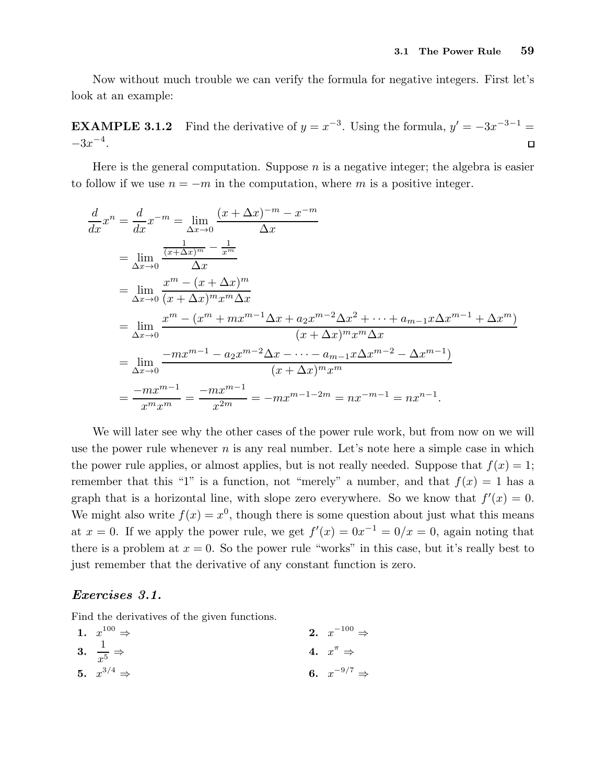Now without much trouble we can verify the formula for negative integers. First let's look at an example:

**EXAMPLE 3.1.2** Find the derivative of  $y = x^{-3}$ . Using the formula,  $y' = -3x^{-3-1}$  $-3x^{-4}.$  $\Box$ 

Here is the general computation. Suppose  $n$  is a negative integer; the algebra is easier to follow if we use  $n = -m$  in the computation, where m is a positive integer.

$$
\frac{d}{dx}x^{n} = \frac{d}{dx}x^{-m} = \lim_{\Delta x \to 0} \frac{(x + \Delta x)^{-m} - x^{-m}}{\Delta x}
$$
\n
$$
= \lim_{\Delta x \to 0} \frac{\frac{1}{(x + \Delta x)^{m}} - \frac{1}{x^{m}}}{\Delta x}
$$
\n
$$
= \lim_{\Delta x \to 0} \frac{x^{m} - (x + \Delta x)^{m}}{(x + \Delta x)^{m}x^{m}\Delta x}
$$
\n
$$
= \lim_{\Delta x \to 0} \frac{x^{m} - (x^{m} + mx^{m-1}\Delta x + a_{2}x^{m-2}\Delta x^{2} + \dots + a_{m-1}x\Delta x^{m-1} + \Delta x^{m})}{(x + \Delta x)^{m}x^{m}\Delta x}
$$
\n
$$
= \lim_{\Delta x \to 0} \frac{-mx^{m-1} - a_{2}x^{m-2}\Delta x - \dots - a_{m-1}x\Delta x^{m-2} - \Delta x^{m-1}}{(x + \Delta x)^{m}x^{m}}
$$
\n
$$
= \frac{-mx^{m-1}}{x^{m}x^{m}} = \frac{-mx^{m-1}}{x^{2m}} = -mx^{m-1-2m} = nx^{-m-1} = nx^{n-1}.
$$

We will later see why the other cases of the power rule work, but from now on we will use the power rule whenever  $n$  is any real number. Let's note here a simple case in which the power rule applies, or almost applies, but is not really needed. Suppose that  $f(x) = 1$ ; remember that this "1" is a function, not "merely" a number, and that  $f(x) = 1$  has a graph that is a horizontal line, with slope zero everywhere. So we know that  $f'(x) = 0$ . We might also write  $f(x) = x^0$ , though there is some question about just what this means at  $x = 0$ . If we apply the power rule, we get  $f'(x) = 0x^{-1} = 0/x = 0$ , again noting that there is a problem at  $x = 0$ . So the power rule "works" in this case, but it's really best to just remember that the derivative of any constant function is zero.

#### Exercises 3.1.

Find the derivatives of the given functions.

1. 
$$
x^{100} \Rightarrow
$$
  
\n2.  $x^{-100} \Rightarrow$   
\n3.  $\frac{1}{x^5} \Rightarrow$   
\n4.  $x^{\pi} \Rightarrow$   
\n5.  $x^{3/4} \Rightarrow$   
\n6.  $x^{-9/7} \Rightarrow$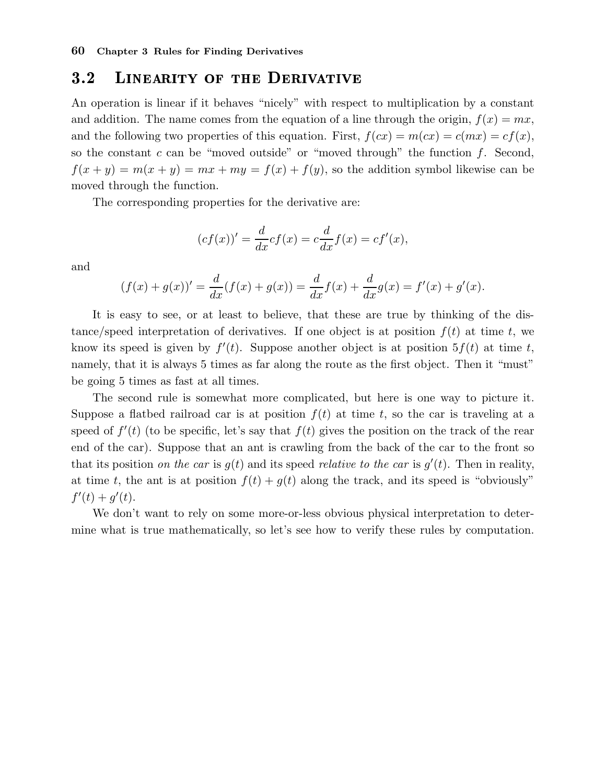# 3.2 Linearity of the Derivative

An operation is linear if it behaves "nicely" with respect to multiplication by a constant and addition. The name comes from the equation of a line through the origin,  $f(x) = mx$ , and the following two properties of this equation. First,  $f(cx) = m(cx) = c(mx) = cf(x)$ , so the constant c can be "moved outside" or "moved through" the function  $f$ . Second,  $f(x + y) = m(x + y) = mx + my = f(x) + f(y)$ , so the addition symbol likewise can be moved through the function.

The corresponding properties for the derivative are:

$$
(cf(x))' = \frac{d}{dx}cf(x) = c\frac{d}{dx}f(x) = cf'(x),
$$

and

$$
(f(x) + g(x))' = \frac{d}{dx}(f(x) + g(x)) = \frac{d}{dx}f(x) + \frac{d}{dx}g(x) = f'(x) + g'(x).
$$

It is easy to see, or at least to believe, that these are true by thinking of the distance/speed interpretation of derivatives. If one object is at position  $f(t)$  at time t, we know its speed is given by  $f'(t)$ . Suppose another object is at position  $5f(t)$  at time t, namely, that it is always 5 times as far along the route as the first object. Then it "must" be going 5 times as fast at all times.

The second rule is somewhat more complicated, but here is one way to picture it. Suppose a flatbed railroad car is at position  $f(t)$  at time t, so the car is traveling at a speed of  $f'(t)$  (to be specific, let's say that  $f(t)$  gives the position on the track of the rear end of the car). Suppose that an ant is crawling from the back of the car to the front so that its position on the car is  $g(t)$  and its speed relative to the car is  $g'(t)$ . Then in reality, at time t, the ant is at position  $f(t) + g(t)$  along the track, and its speed is "obviously"  $f'(t) + g'(t)$ .

We don't want to rely on some more-or-less obvious physical interpretation to determine what is true mathematically, so let's see how to verify these rules by computation.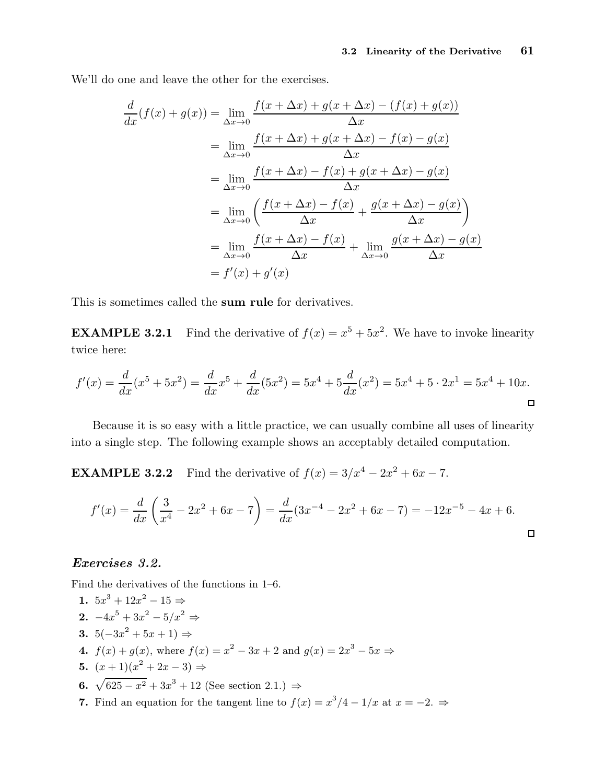We'll do one and leave the other for the exercises.

$$
\frac{d}{dx}(f(x) + g(x)) = \lim_{\Delta x \to 0} \frac{f(x + \Delta x) + g(x + \Delta x) - (f(x) + g(x))}{\Delta x}
$$
\n
$$
= \lim_{\Delta x \to 0} \frac{f(x + \Delta x) + g(x + \Delta x) - f(x) - g(x)}{\Delta x}
$$
\n
$$
= \lim_{\Delta x \to 0} \frac{f(x + \Delta x) - f(x) + g(x + \Delta x) - g(x)}{\Delta x}
$$
\n
$$
= \lim_{\Delta x \to 0} \left( \frac{f(x + \Delta x) - f(x)}{\Delta x} + \frac{g(x + \Delta x) - g(x)}{\Delta x} \right)
$$
\n
$$
= \lim_{\Delta x \to 0} \frac{f(x + \Delta x) - f(x)}{\Delta x} + \lim_{\Delta x \to 0} \frac{g(x + \Delta x) - g(x)}{\Delta x}
$$
\n
$$
= f'(x) + g'(x)
$$

This is sometimes called the sum rule for derivatives.

**EXAMPLE 3.2.1** Find the derivative of  $f(x) = x^5 + 5x^2$ . We have to invoke linearity twice here:

$$
f'(x) = \frac{d}{dx}(x^5 + 5x^2) = \frac{d}{dx}x^5 + \frac{d}{dx}(5x^2) = 5x^4 + 5\frac{d}{dx}(x^2) = 5x^4 + 5 \cdot 2x^1 = 5x^4 + 10x.
$$

Because it is so easy with a little practice, we can usually combine all uses of linearity into a single step. The following example shows an acceptably detailed computation.

**EXAMPLE 3.2.2** Find the derivative of  $f(x) = 3/x^4 - 2x^2 + 6x - 7$ .

$$
f'(x) = \frac{d}{dx} \left( \frac{3}{x^4} - 2x^2 + 6x - 7 \right) = \frac{d}{dx} (3x^{-4} - 2x^2 + 6x - 7) = -12x^{-5} - 4x + 6.
$$

#### Exercises 3.2.

Find the derivatives of the functions in 1–6.

1. 
$$
5x^3 + 12x^2 - 15 \Rightarrow
$$
\n2.  $-4x^5 + 3x^2 - 5/x^2 \Rightarrow$ \n3.  $5(-3x^2 + 5x + 1) \Rightarrow$ \n4.  $f(x) + g(x)$ , where  $f(x) = x^2 - 3x + 2$  and  $g(x) = 2x^3 - 5x \Rightarrow$ \n5.  $(x+1)(x^2 + 2x - 3) \Rightarrow$ \n6.  $\sqrt{625 - x^2} + 3x^3 + 12$  (See section 2.1.)  $\Rightarrow$ \n7. Find an equation for the tangent line to  $f(x) = x^3/4 - 1/x$  at  $x = -2$ .  $\Rightarrow$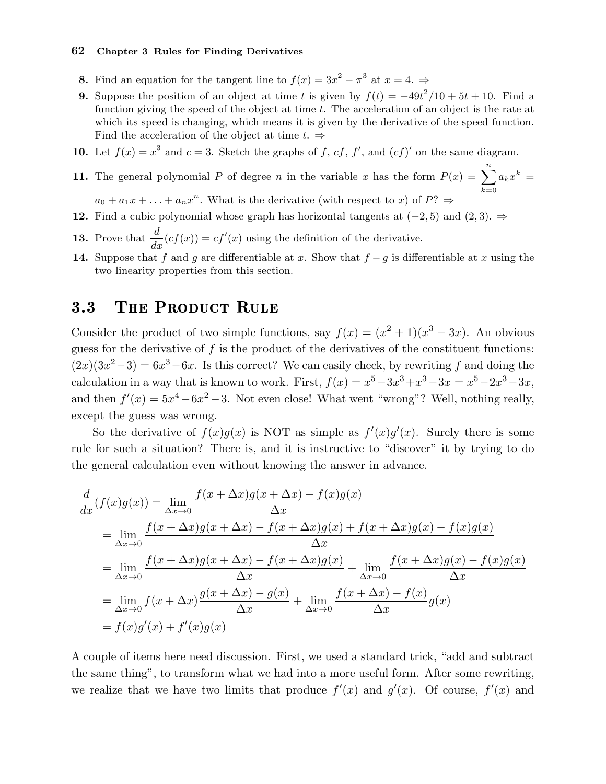- **8.** Find an equation for the tangent line to  $f(x) = 3x^2 \pi^3$  at  $x = 4$ .
- 9. Suppose the position of an object at time t is given by  $f(t) = -49t^2/10 + 5t + 10$ . Find a function giving the speed of the object at time  $t$ . The acceleration of an object is the rate at which its speed is changing, which means it is given by the derivative of the speed function. Find the acceleration of the object at time  $t. \Rightarrow$
- 10. Let  $f(x) = x^3$  and  $c = 3$ . Sketch the graphs of f, cf, f', and  $(cf)'$  on the same diagram.
- **11.** The general polynomial P of degree n in the variable x has the form  $P(x) = \sum_{n=1}^{n}$  $k=0$  $a_k x^k =$
- $a_0 + a_1x + \ldots + a_nx^n$ . What is the derivative (with respect to x) of  $P? \Rightarrow$ 12. Find a cubic polynomial whose graph has horizontal tangents at  $(-2, 5)$  and  $(2, 3)$ . ⇒
- **13.** Prove that  $\frac{d}{dx}(cf(x)) = cf'(x)$  using the definition of the derivative.
- 14. Suppose that f and g are differentiable at x. Show that  $f g$  is differentiable at x using the two linearity properties from this section.

# 3.3 THE PRODUCT RULE

Consider the product of two simple functions, say  $f(x) = (x^2 + 1)(x^3 - 3x)$ . An obvious guess for the derivative of  $f$  is the product of the derivatives of the constituent functions:  $(2x)(3x^2-3) = 6x^3-6x$ . Is this correct? We can easily check, by rewriting f and doing the calculation in a way that is known to work. First,  $f(x) = x^5 - 3x^3 + x^3 - 3x = x^5 - 2x^3 - 3x$ , and then  $f'(x) = 5x^4 - 6x^2 - 3$ . Not even close! What went "wrong"? Well, nothing really, except the guess was wrong.

So the derivative of  $f(x)g(x)$  is NOT as simple as  $f'(x)g'(x)$ . Surely there is some rule for such a situation? There is, and it is instructive to "discover" it by trying to do the general calculation even without knowing the answer in advance.

$$
\frac{d}{dx}(f(x)g(x)) = \lim_{\Delta x \to 0} \frac{f(x + \Delta x)g(x + \Delta x) - f(x)g(x)}{\Delta x}
$$
\n
$$
= \lim_{\Delta x \to 0} \frac{f(x + \Delta x)g(x + \Delta x) - f(x + \Delta x)g(x) + f(x + \Delta x)g(x) - f(x)g(x)}{\Delta x}
$$
\n
$$
= \lim_{\Delta x \to 0} \frac{f(x + \Delta x)g(x + \Delta x) - f(x + \Delta x)g(x)}{\Delta x} + \lim_{\Delta x \to 0} \frac{f(x + \Delta x)g(x) - f(x)g(x)}{\Delta x}
$$
\n
$$
= \lim_{\Delta x \to 0} f(x + \Delta x) \frac{g(x + \Delta x) - g(x)}{\Delta x} + \lim_{\Delta x \to 0} \frac{f(x + \Delta x) - f(x)}{\Delta x}g(x)
$$
\n
$$
= f(x)g'(x) + f'(x)g(x)
$$

A couple of items here need discussion. First, we used a standard trick, "add and subtract the same thing", to transform what we had into a more useful form. After some rewriting, we realize that we have two limits that produce  $f'(x)$  and  $g'(x)$ . Of course,  $f'(x)$  and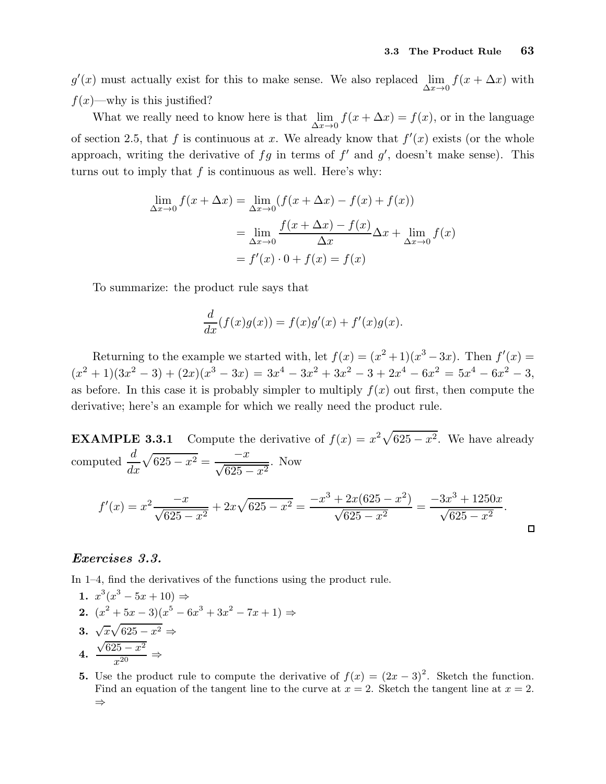$g'(x)$  must actually exist for this to make sense. We also replaced  $\lim_{\Delta x \to 0} f(x + \Delta x)$  with  $f(x)$ —why is this justified?

What we really need to know here is that  $\lim_{\Delta x \to 0} f(x + \Delta x) = f(x)$ , or in the language of section 2.5, that f is continuous at x. We already know that  $f'(x)$  exists (or the whole approach, writing the derivative of  $fg$  in terms of  $f'$  and  $g'$ , doesn't make sense). This turns out to imply that  $f$  is continuous as well. Here's why:

$$
\lim_{\Delta x \to 0} f(x + \Delta x) = \lim_{\Delta x \to 0} (f(x + \Delta x) - f(x) + f(x))
$$

$$
= \lim_{\Delta x \to 0} \frac{f(x + \Delta x) - f(x)}{\Delta x} \Delta x + \lim_{\Delta x \to 0} f(x)
$$

$$
= f'(x) \cdot 0 + f(x) = f(x)
$$

To summarize: the product rule says that

$$
\frac{d}{dx}(f(x)g(x)) = f(x)g'(x) + f'(x)g(x).
$$

Returning to the example we started with, let  $f(x) = (x^2 + 1)(x^3 - 3x)$ . Then  $f'(x) =$  $(x^{2} + 1)(3x^{2} - 3) + (2x)(x^{3} - 3x) = 3x^{4} - 3x^{2} + 3x^{2} - 3 + 2x^{4} - 6x^{2} = 5x^{4} - 6x^{2} - 3,$ as before. In this case it is probably simpler to multiply  $f(x)$  out first, then compute the derivative; here's an example for which we really need the product rule.

**EXAMPLE 3.3.1** Compute the derivative of  $f(x) = x^2 \sqrt{625 - x^2}$ . We have already computed  $\frac{d}{dt}$  $\sqrt{625 - x^2} = \frac{-x}{\sqrt{625 - x^2}}$ . Now  $dx$  $f'(x) = x^2 \frac{-x}{\sqrt{625 - x^2}} + 2x\sqrt{625 - x^2} = \frac{-x^3 + 2x(625 - x^2)}{\sqrt{625 - x^2}}$  $\frac{+2x(625-x^2)}{\sqrt{625-x^2}} = \frac{-3x^3+1250x}{\sqrt{625-x^2}}$  $rac{3x+1255x}{\sqrt{625-x^2}}$ .  $\Box$ 

#### Exercises 3.3.

In 1–4, find the derivatives of the functions using the product rule.

1. 
$$
x^3(x^3 - 5x + 10) \Rightarrow
$$
  
\n2.  $(x^2 + 5x - 3)(x^5 - 6x^3 + 3x^2 - 7x + 1) \Rightarrow$   
\n3.  $\sqrt{x}\sqrt{625 - x^2} \Rightarrow$   
\n4.  $\frac{\sqrt{625 - x^2}}{x^{20}} \Rightarrow$ 

5. Use the product rule to compute the derivative of  $f(x) = (2x - 3)^2$ . Sketch the function. Find an equation of the tangent line to the curve at  $x = 2$ . Sketch the tangent line at  $x = 2$ . ⇒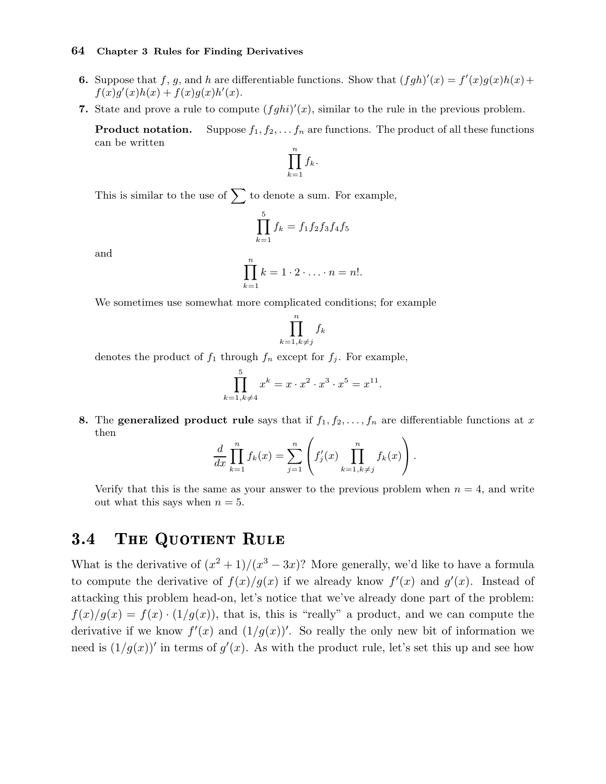- **6.** Suppose that f, g, and h are differentiable functions. Show that  $(fgh)'(x) = f'(x)g(x)h(x) +$  $f(x)g'(x)h(x) + f(x)g(x)h'(x).$
- 7. State and prove a rule to compute  $(fghi)'(x)$ , similar to the rule in the previous problem.

**Product notation.** Suppose  $f_1, f_2, \ldots, f_n$  are functions. The product of all these functions can be written

$$
\prod_{k=1}^n f_k.
$$

This is similar to the use of  $\sum$  to denote a sum. For example,

$$
\prod_{k=1}^{5} f_k = f_1 f_2 f_3 f_4 f_5
$$

and

$$
\prod_{k=1}^n k = 1 \cdot 2 \cdot \ldots \cdot n = n!.
$$

We sometimes use somewhat more complicated conditions; for example

$$
\prod_{k=1, k \neq j}^{n} f_k
$$

denotes the product of  $f_1$  through  $f_n$  except for  $f_j$ . For example,

$$
\prod_{k=1, k \neq 4}^{5} x^{k} = x \cdot x^{2} \cdot x^{3} \cdot x^{5} = x^{11}.
$$

8. The generalized product rule says that if  $f_1, f_2, \ldots, f_n$  are differentiable functions at x then

$$
\frac{d}{dx}\prod_{k=1}^n f_k(x) = \sum_{j=1}^n \left(f'_j(x)\prod_{k=1,k\neq j}^n f_k(x)\right).
$$

Verify that this is the same as your answer to the previous problem when  $n = 4$ , and write out what this says when  $n = 5$ .

# 3.4 THE QUOTIENT RULE

What is the derivative of  $(x^2 + 1)/(x^3 - 3x)$ ? More generally, we'd like to have a formula to compute the derivative of  $f(x)/g(x)$  if we already know  $f'(x)$  and  $g'(x)$ . Instead of attacking this problem head-on, let's notice that we've already done part of the problem:  $f(x)/g(x) = f(x) \cdot (1/g(x))$ , that is, this is "really" a product, and we can compute the derivative if we know  $f'(x)$  and  $(1/g(x))'$ . So really the only new bit of information we need is  $(1/g(x))'$  in terms of  $g'(x)$ . As with the product rule, let's set this up and see how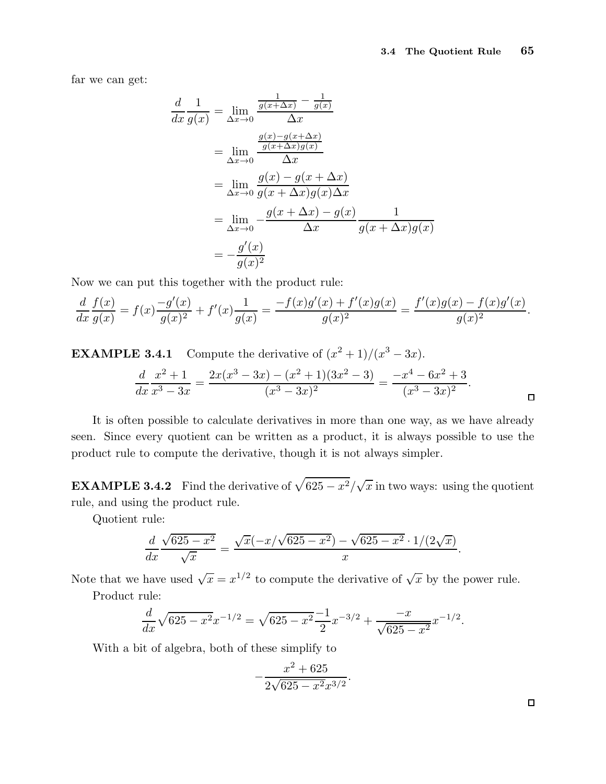far we can get:

$$
\frac{d}{dx}\frac{1}{g(x)} = \lim_{\Delta x \to 0} \frac{\frac{1}{g(x + \Delta x)} - \frac{1}{g(x)}}{\Delta x}
$$
\n
$$
= \lim_{\Delta x \to 0} \frac{\frac{g(x) - g(x + \Delta x)}{g(x + \Delta x)g(x)}}{\Delta x}
$$
\n
$$
= \lim_{\Delta x \to 0} \frac{g(x) - g(x + \Delta x)}{g(x + \Delta x)g(x)\Delta x}
$$
\n
$$
= \lim_{\Delta x \to 0} -\frac{g(x + \Delta x) - g(x)}{\Delta x} \frac{1}{g(x + \Delta x)g(x)}
$$
\n
$$
= -\frac{g'(x)}{g(x)^2}
$$

Now we can put this together with the product rule:

$$
\frac{d}{dx}\frac{f(x)}{g(x)} = f(x)\frac{-g'(x)}{g(x)^2} + f'(x)\frac{1}{g(x)} = \frac{-f(x)g'(x) + f'(x)g(x)}{g(x)^2} = \frac{f'(x)g(x) - f(x)g'(x)}{g(x)^2}.
$$

**EXAMPLE 3.4.1** Compute the derivative of 
$$
(x^2 + 1)/(x^3 - 3x)
$$
.  
\n
$$
\frac{d}{dx} \frac{x^2 + 1}{x^3 - 3x} = \frac{2x(x^3 - 3x) - (x^2 + 1)(3x^2 - 3)}{(x^3 - 3x)^2} = \frac{-x^4 - 6x^2 + 3}{(x^3 - 3x)^2}.
$$

It is often possible to calculate derivatives in more than one way, as we have already seen. Since every quotient can be written as a product, it is always possible to use the product rule to compute the derivative, though it is not always simpler.

**EXAMPLE 3.4.2** Find the derivative of  $\sqrt{625 - x^2}/\sqrt{x}$  in two ways: using the quotient rule, and using the product rule.

Quotient rule:

$$
\frac{d}{dx}\frac{\sqrt{625-x^2}}{\sqrt{x}} = \frac{\sqrt{x}(-x/\sqrt{625-x^2}) - \sqrt{625-x^2} \cdot 1/(2\sqrt{x})}{x}.
$$

Note that we have used  $\sqrt{x} = x^{1/2}$  to compute the derivative of  $\sqrt{x}$  by the power rule.

Product rule:

$$
\frac{d}{dx}\sqrt{625 - x^2}x^{-1/2} = \sqrt{625 - x^2}\frac{-1}{2}x^{-3/2} + \frac{-x}{\sqrt{625 - x^2}}x^{-1/2}.
$$

With a bit of algebra, both of these simplify to

$$
-\frac{x^2 + 625}{2\sqrt{625 - x^2}x^{3/2}}.
$$

 $\Box$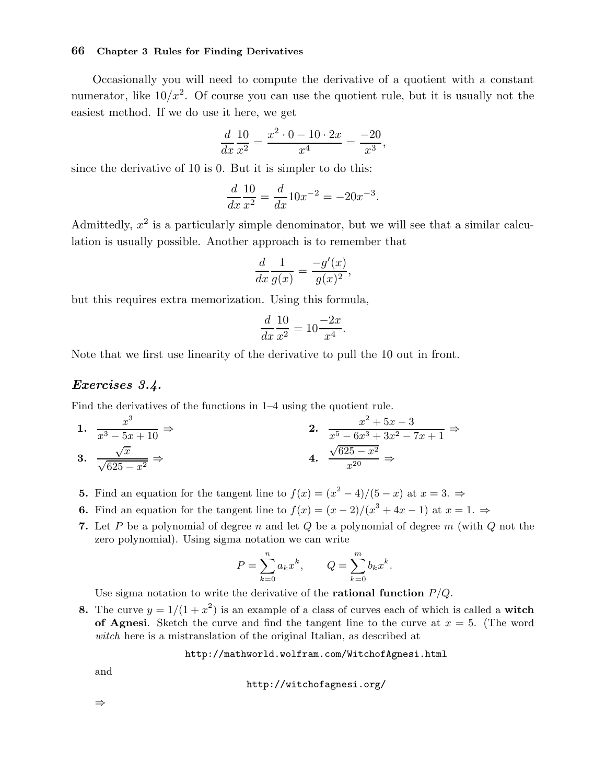Occasionally you will need to compute the derivative of a quotient with a constant numerator, like  $10/x^2$ . Of course you can use the quotient rule, but it is usually not the easiest method. If we do use it here, we get

$$
\frac{d}{dx}\frac{10}{x^2} = \frac{x^2 \cdot 0 - 10 \cdot 2x}{x^4} = \frac{-20}{x^3},
$$

since the derivative of 10 is 0. But it is simpler to do this:

$$
\frac{d}{dx}\frac{10}{x^2} = \frac{d}{dx}10x^{-2} = -20x^{-3}.
$$

Admittedly,  $x^2$  is a particularly simple denominator, but we will see that a similar calculation is usually possible. Another approach is to remember that

$$
\frac{d}{dx}\frac{1}{g(x)} = \frac{-g'(x)}{g(x)^2},
$$

but this requires extra memorization. Using this formula,

$$
\frac{d}{dx}\frac{10}{x^2} = 10\frac{-2x}{x^4}.
$$

Note that we first use linearity of the derivative to pull the 10 out in front.

#### Exercises 3.4.

Find the derivatives of the functions in 1–4 using the quotient rule.

1. 
$$
\frac{x^3}{x^3 - 5x + 10} \Rightarrow
$$
  
\n2. 
$$
\frac{x^2 + 5x - 3}{x^5 - 6x^3 + 3x^2 - 7x + 1} \Rightarrow
$$
  
\n3. 
$$
\frac{\sqrt{x}}{\sqrt{625 - x^2}} \Rightarrow
$$
  
\n4. 
$$
\frac{\sqrt{625 - x^2}}{x^{20}} \Rightarrow
$$

**5.** Find an equation for the tangent line to  $f(x) = (x^2 - 4)/(5 - x)$  at  $x = 3. \Rightarrow$ 

- **6.** Find an equation for the tangent line to  $f(x) = (x 2)/(x^3 + 4x 1)$  at  $x = 1$ .  $\Rightarrow$
- 7. Let P be a polynomial of degree n and let Q be a polynomial of degree  $m$  (with  $Q$  not the zero polynomial). Using sigma notation we can write

$$
P = \sum_{k=0}^{n} a_k x^k, \qquad Q = \sum_{k=0}^{m} b_k x^k.
$$

Use sigma notation to write the derivative of the **rational function**  $P/Q$ .

8. The curve  $y = 1/(1 + x^2)$  is an example of a class of curves each of which is called a **witch** of Agnesi. Sketch the curve and find the tangent line to the curve at  $x = 5$ . (The word witch here is a mistranslation of the original Italian, as described at

http://mathworld.wolfram.com/WitchofAgnesi.html

and

http://witchofagnesi.org/

⇒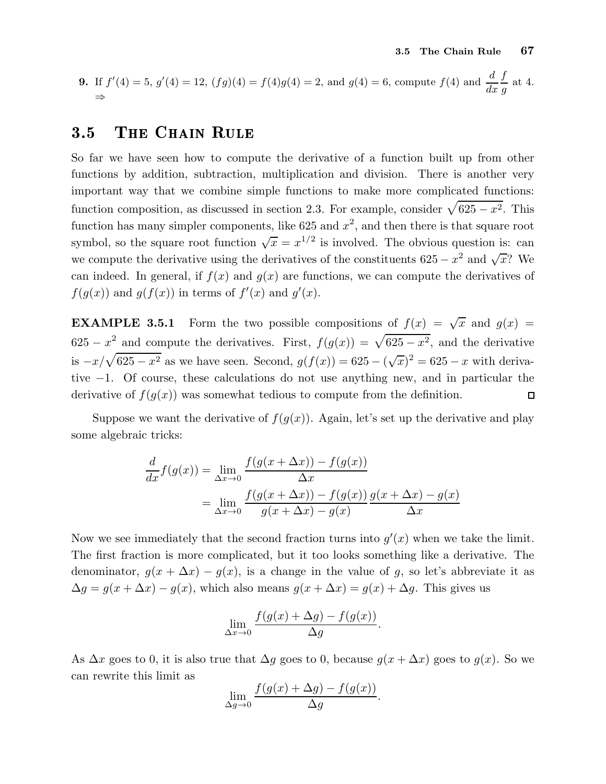**9.** If 
$$
f'(4) = 5
$$
,  $g'(4) = 12$ ,  $(fg)(4) = f(4)g(4) = 2$ , and  $g(4) = 6$ , compute  $f(4)$  and  $\frac{d}{dx} \frac{f}{g}$  at 4.

### 3.5 THE CHAIN RULE

So far we have seen how to compute the derivative of a function built up from other functions by addition, subtraction, multiplication and division. There is another very important way that we combine simple functions to make more complicated functions: function composition, as discussed in section 2.3. For example, consider  $\sqrt{625 - x^2}$ . This function has many simpler components, like 625 and  $x^2$ , and then there is that square root symbol, so the square root function  $\sqrt{x} = x^{1/2}$  is involved. The obvious question is: can we compute the derivative using the derivatives of the constituents  $625 - x^2$  and  $\sqrt{x}$ ? We can indeed. In general, if  $f(x)$  and  $g(x)$  are functions, we can compute the derivatives of  $f(g(x))$  and  $g(f(x))$  in terms of  $f'(x)$  and  $g'(x)$ .

**EXAMPLE 3.5.1** Form the two possible compositions of  $f(x) = \sqrt{x}$  and  $g(x) =$  $625 - x^2$  and compute the derivatives. First,  $f(g(x)) = \sqrt{625 - x^2}$ , and the derivative is  $-x/\sqrt{625 - x^2}$  as we have seen. Second,  $g(f(x)) = 625 - (\sqrt{x})^2 = 625 - x$  with derivative −1. Of course, these calculations do not use anything new, and in particular the derivative of  $f(g(x))$  was somewhat tedious to compute from the definition.  $\Box$ 

Suppose we want the derivative of  $f(g(x))$ . Again, let's set up the derivative and play some algebraic tricks:

$$
\frac{d}{dx}f(g(x)) = \lim_{\Delta x \to 0} \frac{f(g(x + \Delta x)) - f(g(x))}{\Delta x}
$$

$$
= \lim_{\Delta x \to 0} \frac{f(g(x + \Delta x)) - f(g(x))}{g(x + \Delta x) - g(x)} \frac{g(x + \Delta x) - g(x)}{\Delta x}
$$

Now we see immediately that the second fraction turns into  $g'(x)$  when we take the limit. The first fraction is more complicated, but it too looks something like a derivative. The denominator,  $g(x + \Delta x) - g(x)$ , is a change in the value of g, so let's abbreviate it as  $\Delta g = g(x + \Delta x) - g(x)$ , which also means  $g(x + \Delta x) = g(x) + \Delta g$ . This gives us

$$
\lim_{\Delta x \to 0} \frac{f(g(x) + \Delta g) - f(g(x))}{\Delta g}
$$

.

As  $\Delta x$  goes to 0, it is also true that  $\Delta g$  goes to 0, because  $g(x + \Delta x)$  goes to  $g(x)$ . So we can rewrite this limit as

$$
\lim_{\Delta g \to 0} \frac{f(g(x) + \Delta g) - f(g(x))}{\Delta g}.
$$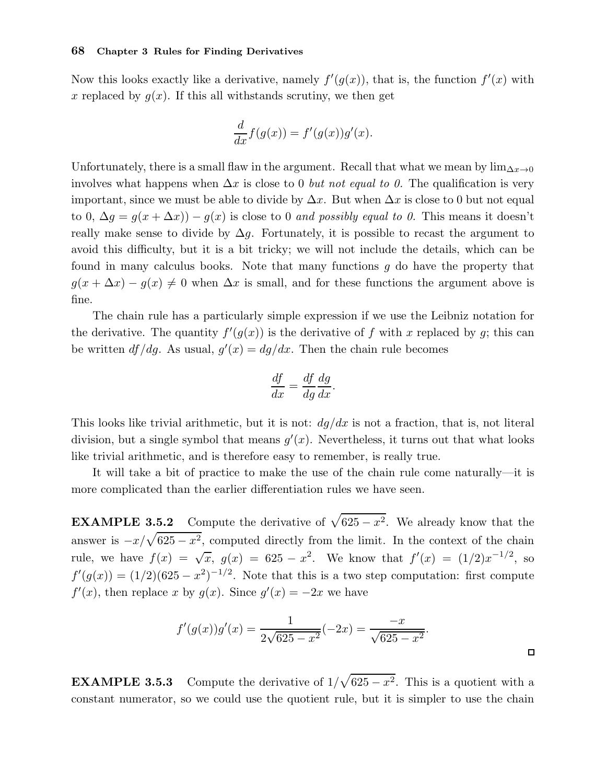Now this looks exactly like a derivative, namely  $f'(g(x))$ , that is, the function  $f'(x)$  with x replaced by  $g(x)$ . If this all withstands scrutiny, we then get

$$
\frac{d}{dx}f(g(x)) = f'(g(x))g'(x).
$$

Unfortunately, there is a small flaw in the argument. Recall that what we mean by  $\lim_{\Delta x\to 0}$ involves what happens when  $\Delta x$  is close to 0 *but not equal to 0*. The qualification is very important, since we must be able to divide by  $\Delta x$ . But when  $\Delta x$  is close to 0 but not equal to 0,  $\Delta g = g(x + \Delta x) - g(x)$  is close to 0 and possibly equal to 0. This means it doesn't really make sense to divide by  $\Delta g$ . Fortunately, it is possible to recast the argument to avoid this difficulty, but it is a bit tricky; we will not include the details, which can be found in many calculus books. Note that many functions g do have the property that  $g(x + \Delta x) - g(x) \neq 0$  when  $\Delta x$  is small, and for these functions the argument above is fine.

The chain rule has a particularly simple expression if we use the Leibniz notation for the derivative. The quantity  $f'(g(x))$  is the derivative of f with x replaced by g; this can be written  $df/dg$ . As usual,  $g'(x) = dg/dx$ . Then the chain rule becomes

$$
\frac{df}{dx} = \frac{df}{dg}\frac{dg}{dx}.
$$

This looks like trivial arithmetic, but it is not:  $dg/dx$  is not a fraction, that is, not literal division, but a single symbol that means  $g'(x)$ . Nevertheless, it turns out that what looks like trivial arithmetic, and is therefore easy to remember, is really true.

It will take a bit of practice to make the use of the chain rule come naturally—it is more complicated than the earlier differentiation rules we have seen.

**EXAMPLE 3.5.2** Compute the derivative of  $\sqrt{625 - x^2}$ . We already know that the answer is  $-x/\sqrt{625 - x^2}$ , computed directly from the limit. In the context of the chain rule, we have  $f(x) = \sqrt{x}$ ,  $g(x) = 625 - x^2$ . We know that  $f'(x) = (1/2)x^{-1/2}$ , so  $f'(g(x)) = (1/2)(625 - x^2)^{-1/2}$ . Note that this is a two step computation: first compute  $f'(x)$ , then replace x by  $g(x)$ . Since  $g'(x) = -2x$  we have

$$
f'(g(x))g'(x) = \frac{1}{2\sqrt{625 - x^2}}(-2x) = \frac{-x}{\sqrt{625 - x^2}}.
$$

**EXAMPLE 3.5.3** Compute the derivative of  $1/\sqrt{625 - x^2}$ . This is a quotient with a constant numerator, so we could use the quotient rule, but it is simpler to use the chain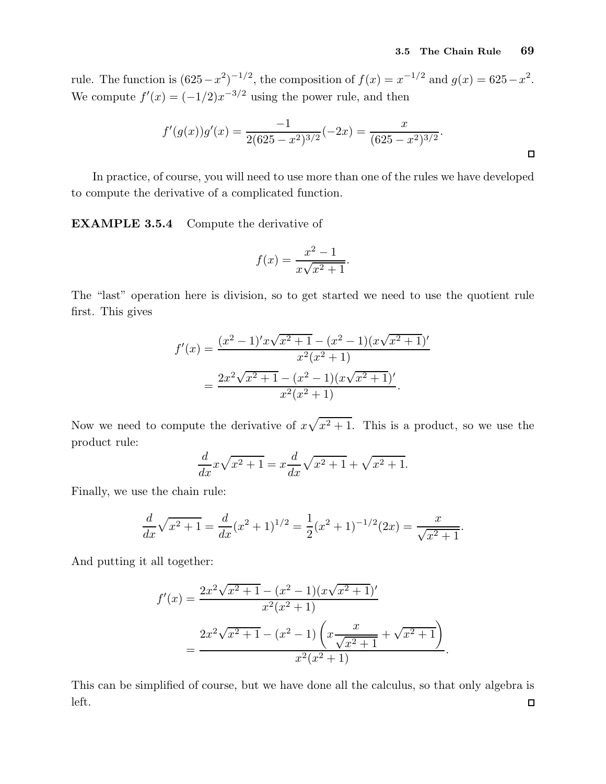rule. The function is  $(625 - x^2)^{-1/2}$ , the composition of  $f(x) = x^{-1/2}$  and  $g(x) = 625 - x^2$ . We compute  $f'(x) = (-1/2)x^{-3/2}$  using the power rule, and then

$$
f'(g(x))g'(x) = \frac{-1}{2(625 - x^2)^{3/2}}(-2x) = \frac{x}{(625 - x^2)^{3/2}}.
$$

In practice, of course, you will need to use more than one of the rules we have developed to compute the derivative of a complicated function.

EXAMPLE 3.5.4 Compute the derivative of

$$
f(x) = \frac{x^2 - 1}{x\sqrt{x^2 + 1}}.
$$

The "last" operation here is division, so to get started we need to use the quotient rule first. This gives

$$
f'(x) = \frac{(x^2 - 1)'x\sqrt{x^2 + 1} - (x^2 - 1)(x\sqrt{x^2 + 1})'}{x^2(x^2 + 1)}
$$
  
= 
$$
\frac{2x^2\sqrt{x^2 + 1} - (x^2 - 1)(x\sqrt{x^2 + 1})'}{x^2(x^2 + 1)}.
$$

Now we need to compute the derivative of  $x\sqrt{x^2+1}$ . This is a product, so we use the product rule:

$$
\frac{d}{dx}x\sqrt{x^2+1} = x\frac{d}{dx}\sqrt{x^2+1} + \sqrt{x^2+1}.
$$

Finally, we use the chain rule:

$$
\frac{d}{dx}\sqrt{x^2+1} = \frac{d}{dx}(x^2+1)^{1/2} = \frac{1}{2}(x^2+1)^{-1/2}(2x) = \frac{x}{\sqrt{x^2+1}}.
$$

And putting it all together:

$$
f'(x) = \frac{2x^2\sqrt{x^2+1} - (x^2-1)(x\sqrt{x^2+1})'}{x^2(x^2+1)}
$$
  
= 
$$
\frac{2x^2\sqrt{x^2+1} - (x^2-1)\left(x\frac{x}{\sqrt{x^2+1}} + \sqrt{x^2+1}\right)}{x^2(x^2+1)}.
$$

This can be simplified of course, but we have done all the calculus, so that only algebra is left. $\Box$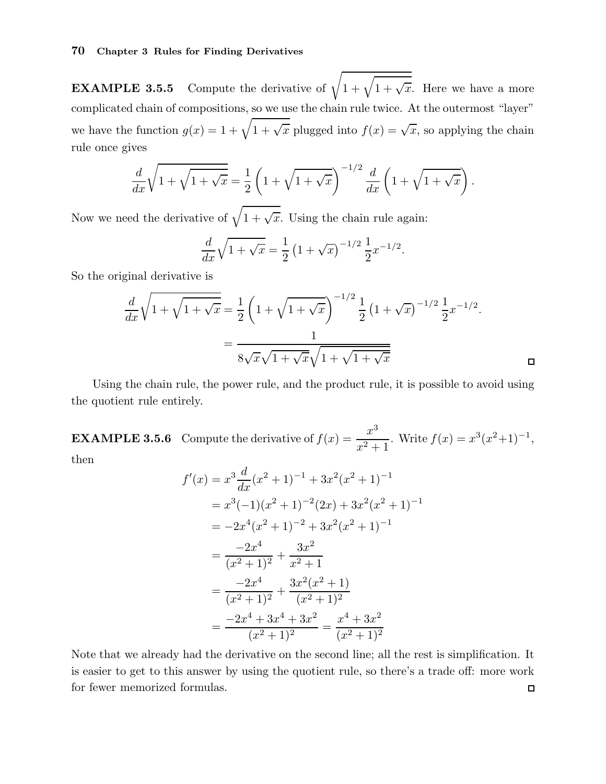**EXAMPLE 3.5.5** Compute the derivative of  $\sqrt{1 + \sqrt{1 + \sqrt{x}}}$ . Here we have a more complicated chain of compositions, so we use the chain rule twice. At the outermost "layer" we have the function  $g(x) = 1 + \sqrt{1 + \sqrt{x}}$  plugged into  $f(x) = \sqrt{x}$ , so applying the chain rule once gives

$$
\frac{d}{dx}\sqrt{1+\sqrt{1+\sqrt{x}}} = \frac{1}{2}\left(1+\sqrt{1+\sqrt{x}}\right)^{-1/2}\frac{d}{dx}\left(1+\sqrt{1+\sqrt{x}}\right).
$$

Now we need the derivative of  $\sqrt{1 + \sqrt{x}}$ . Using the chain rule again:

$$
\frac{d}{dx}\sqrt{1+\sqrt{x}} = \frac{1}{2}\left(1+\sqrt{x}\right)^{-1/2}\frac{1}{2}x^{-1/2}.
$$

So the original derivative is

$$
\frac{d}{dx}\sqrt{1+\sqrt{1+\sqrt{x}}} = \frac{1}{2}\left(1+\sqrt{1+\sqrt{x}}\right)^{-1/2}\frac{1}{2}\left(1+\sqrt{x}\right)^{-1/2}\frac{1}{2}x^{-1/2}.
$$
\n
$$
= \frac{1}{8\sqrt{x}\sqrt{1+\sqrt{x}}\sqrt{1+\sqrt{1+\sqrt{x}}}}\qquad\Box
$$

Using the chain rule, the power rule, and the product rule, it is possible to avoid using the quotient rule entirely.

**EXAMPLE 3.5.6** Compute the derivative of  $f(x) = \frac{x^3}{2}$  $\frac{x^3}{x^2+1}$ . Write  $f(x) = x^3(x^2+1)^{-1}$ , then

$$
f'(x) = x^3 \frac{d}{dx} (x^2 + 1)^{-1} + 3x^2 (x^2 + 1)^{-1}
$$
  
=  $x^3 (-1)(x^2 + 1)^{-2} (2x) + 3x^2 (x^2 + 1)^{-1}$   
=  $-2x^4 (x^2 + 1)^{-2} + 3x^2 (x^2 + 1)^{-1}$   
=  $\frac{-2x^4}{(x^2 + 1)^2} + \frac{3x^2}{x^2 + 1}$   
=  $\frac{-2x^4}{(x^2 + 1)^2} + \frac{3x^2 (x^2 + 1)}{(x^2 + 1)^2}$   
=  $\frac{-2x^4 + 3x^4 + 3x^2}{(x^2 + 1)^2} = \frac{x^4 + 3x^2}{(x^2 + 1)^2}$ 

Note that we already had the derivative on the second line; all the rest is simplification. It is easier to get to this answer by using the quotient rule, so there's a trade off: more work for fewer memorized formulas. $\Box$